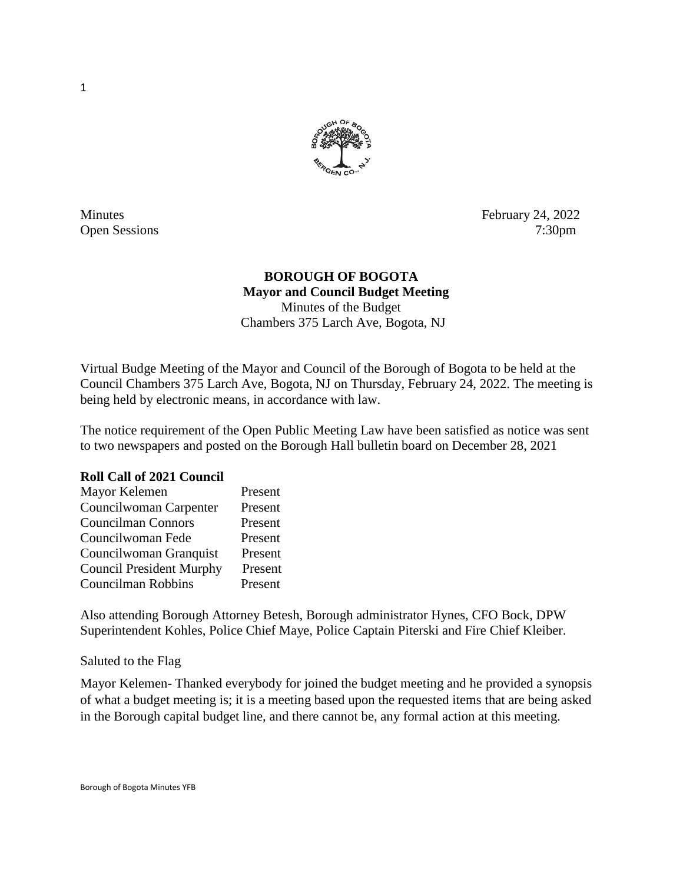

Minutes February 24, 2022 Open Sessions 7:30pm

## **BOROUGH OF BOGOTA Mayor and Council Budget Meeting** Minutes of the Budget Chambers 375 Larch Ave, Bogota, NJ

Virtual Budge Meeting of the Mayor and Council of the Borough of Bogota to be held at the Council Chambers 375 Larch Ave, Bogota, NJ on Thursday, February 24, 2022. The meeting is being held by electronic means, in accordance with law.

The notice requirement of the Open Public Meeting Law have been satisfied as notice was sent to two newspapers and posted on the Borough Hall bulletin board on December 28, 2021

### **Roll Call of 2021 Council**

| Mayor Kelemen                   | Present |
|---------------------------------|---------|
| Councilwoman Carpenter          | Present |
| <b>Councilman Connors</b>       | Present |
| Councilwoman Fede               | Present |
| Councilwoman Granquist          | Present |
| <b>Council President Murphy</b> | Present |
| Councilman Robbins              | Present |

Also attending Borough Attorney Betesh, Borough administrator Hynes, CFO Bock, DPW Superintendent Kohles, Police Chief Maye, Police Captain Piterski and Fire Chief Kleiber.

Saluted to the Flag

Mayor Kelemen- Thanked everybody for joined the budget meeting and he provided a synopsis of what a budget meeting is; it is a meeting based upon the requested items that are being asked in the Borough capital budget line, and there cannot be, any formal action at this meeting.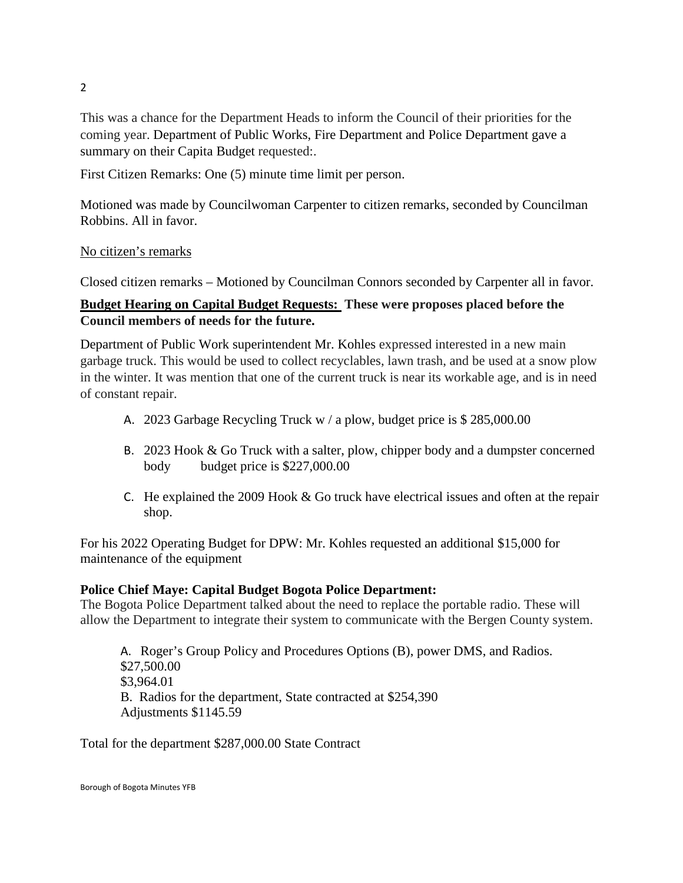This was a chance for the Department Heads to inform the Council of their priorities for the coming year. Department of Public Works, Fire Department and Police Department gave a summary on their Capita Budget requested:.

First Citizen Remarks: One (5) minute time limit per person.

Motioned was made by Councilwoman Carpenter to citizen remarks, seconded by Councilman Robbins. All in favor.

## No citizen's remarks

Closed citizen remarks – Motioned by Councilman Connors seconded by Carpenter all in favor.

# **Budget Hearing on Capital Budget Requests: These were proposes placed before the Council members of needs for the future.**

Department of Public Work superintendent Mr. Kohles expressed interested in a new main garbage truck. This would be used to collect recyclables, lawn trash, and be used at a snow plow in the winter. It was mention that one of the current truck is near its workable age, and is in need of constant repair.

- A. 2023 Garbage Recycling Truck w / a plow, budget price is \$ 285,000.00
- B. 2023 Hook & Go Truck with a salter, plow, chipper body and a dumpster concerned body budget price is \$227,000.00
- C. He explained the 2009 Hook  $&$  Go truck have electrical issues and often at the repair shop.

For his 2022 Operating Budget for DPW: Mr. Kohles requested an additional \$15,000 for maintenance of the equipment

## **Police Chief Maye: Capital Budget Bogota Police Department:**

The Bogota Police Department talked about the need to replace the portable radio. These will allow the Department to integrate their system to communicate with the Bergen County system.

A. Roger's Group Policy and Procedures Options (B), power DMS, and Radios. \$27,500.00 \$3,964.01 B. Radios for the department, State contracted at \$254,390 Adjustments \$1145.59

Total for the department \$287,000.00 State Contract

2